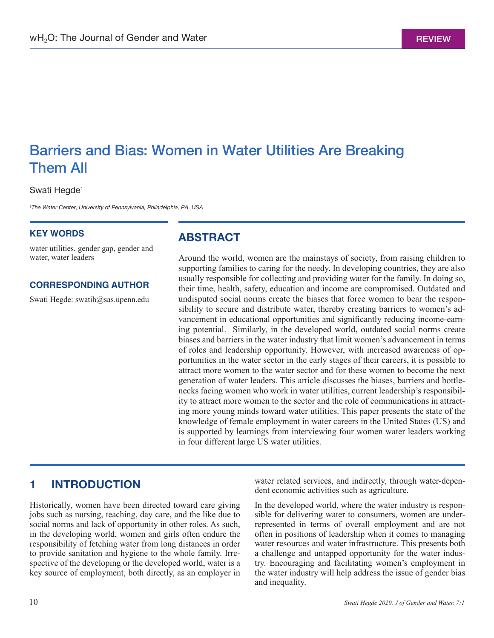# Barriers and Bias: Women in Water Utilities Are Breaking Them All

#### Swati Hegde<sup>1</sup>

*<sup>1</sup>The Water Center, University of Pennsylvania, Philadelphia, PA, USA* 

#### **KEY WORDS**

water utilities, gender gap, gender and water, water leaders

#### **CORRESPONDING AUTHOR**

Swati Hegde: swatih@sas.upenn.edu

## **ABSTRACT**

Around the world, women are the mainstays of society, from raising children to supporting families to caring for the needy. In developing countries, they are also usually responsible for collecting and providing water for the family. In doing so, their time, health, safety, education and income are compromised. Outdated and undisputed social norms create the biases that force women to bear the responsibility to secure and distribute water, thereby creating barriers to women's advancement in educational opportunities and significantly reducing income-earning potential. Similarly, in the developed world, outdated social norms create biases and barriers in the water industry that limit women's advancement in terms of roles and leadership opportunity. However, with increased awareness of opportunities in the water sector in the early stages of their careers, it is possible to attract more women to the water sector and for these women to become the next generation of water leaders. This article discusses the biases, barriers and bottlenecks facing women who work in water utilities, current leadership's responsibility to attract more women to the sector and the role of communications in attracting more young minds toward water utilities. This paper presents the state of the knowledge of female employment in water careers in the United States (US) and is supported by learnings from interviewing four women water leaders working in four different large US water utilities.

### **1 INTRODUCTION**

Historically, women have been directed toward care giving jobs such as nursing, teaching, day care, and the like due to social norms and lack of opportunity in other roles. As such, in the developing world, women and girls often endure the responsibility of fetching water from long distances in order to provide sanitation and hygiene to the whole family. Irrespective of the developing or the developed world, water is a key source of employment, both directly, as an employer in water related services, and indirectly, through water-dependent economic activities such as agriculture.

In the developed world, where the water industry is responsible for delivering water to consumers, women are underrepresented in terms of overall employment and are not often in positions of leadership when it comes to managing water resources and water infrastructure. This presents both a challenge and untapped opportunity for the water industry. Encouraging and facilitating women's employment in the water industry will help address the issue of gender bias and inequality.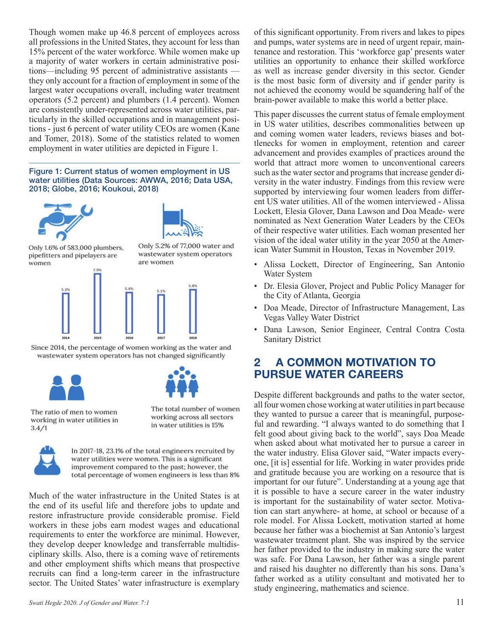Though women make up 46.8 percent of employees across all professions in the United States, they account for less than 15% percent of the water workforce. While women make up a majority of water workers in certain administrative positions—including 95 percent of administrative assistants they only account for a fraction of employment in some of the largest water occupations overall, including water treatment operators (5.2 percent) and plumbers (1.4 percent). Women are consistently under-represented across water utilities, particularly in the skilled occupations and in management positions - just 6 percent of water utility CEOs are women (Kane and Tomer, 2018). Some of the statistics related to women employment in water utilities are depicted in Figure 1.

#### Figure 1: Current status of women employment in US water utilities (Data Sources: AWWA, 2016; Data USA, 2018; Globe, 2016; Koukoui, 2018)





Only 1.6% of 583,000 plumbers, pipefitters and pipelayers are women

Only 5.2% of 77,000 water and wastewater system operators are women



Since 2014, the percentage of women working as the water and wastewater system operators has not changed significantly



The ratio of men to women working in water utilities in  $3.4/1$ 

The total number of women working across all sectors in water utilities is 15%



In 2017-18, 23.1% of the total engineers recruited by water utilities were women. This is a significant improvement compared to the past; however, the total percentage of women engineers is less than 8%

Much of the water infrastructure in the United States is at the end of its useful life and therefore jobs to update and restore infrastructure provide considerable promise. Field workers in these jobs earn modest wages and educational requirements to enter the workforce are minimal. However, they develop deeper knowledge and transferrable multidisciplinary skills. Also, there is a coming wave of retirements and other employment shifts which means that prospective recruits can find a long-term career in the infrastructure sector. The United States' water infrastructure is exemplary of this significant opportunity. From rivers and lakes to pipes and pumps, water systems are in need of urgent repair, maintenance and restoration. This 'workforce gap' presents water utilities an opportunity to enhance their skilled workforce as well as increase gender diversity in this sector. Gender is the most basic form of diversity and if gender parity is not achieved the economy would be squandering half of the brain-power available to make this world a better place.

This paper discusses the current status of female employment in US water utilities, describes commonalities between up and coming women water leaders, reviews biases and bottlenecks for women in employment, retention and career advancement and provides examples of practices around the world that attract more women to unconventional careers such as the water sector and programs that increase gender diversity in the water industry. Findings from this review were supported by interviewing four women leaders from different US water utilities. All of the women interviewed - Alissa Lockett, Elesia Glover, Dana Lawson and Doa Meade- were nominated as Next Generation Water Leaders by the CEOs of their respective water utilities. Each woman presented her vision of the ideal water utility in the year 2050 at the American Water Summit in Houston, Texas in November 2019.

- Alissa Lockett, Director of Engineering, San Antonio Water System
- Dr. Elesia Glover, Project and Public Policy Manager for the City of Atlanta, Georgia
- Doa Meade, Director of Infrastructure Management, Las Vegas Valley Water District
- Dana Lawson, Senior Engineer, Central Contra Costa Sanitary District

# **2 A COMMON MOTIVATION TO PURSUE WATER CAREERS**

Despite different backgrounds and paths to the water sector, all four women chose working at water utilities in part because they wanted to pursue a career that is meaningful, purposeful and rewarding. "I always wanted to do something that I felt good about giving back to the world", says Doa Meade when asked about what motivated her to pursue a career in the water industry. Elisa Glover said, "Water impacts everyone, [it is] essential for life. Working in water provides pride and gratitude because you are working on a resource that is important for our future". Understanding at a young age that it is possible to have a secure career in the water industry is important for the sustainability of water sector. Motivation can start anywhere- at home, at school or because of a role model. For Alissa Lockett, motivation started at home because her father was a biochemist at San Antonio's largest wastewater treatment plant. She was inspired by the service her father provided to the industry in making sure the water was safe. For Dana Lawson, her father was a single parent and raised his daughter no differently than his sons. Dana's father worked as a utility consultant and motivated her to study engineering, mathematics and science.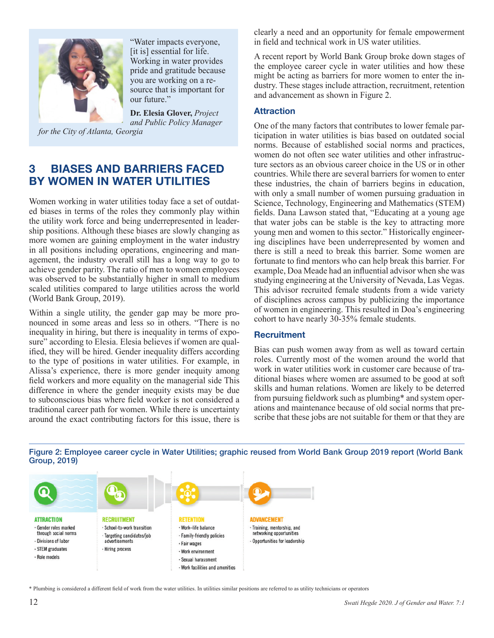

"Water impacts everyone, [it is] essential for life. Working in water provides pride and gratitude because you are working on a resource that is important for our future."

**Dr. Elesia Glover,** *Project and Public Policy Manager* 

*for the City of Atlanta, Georgia*

# **3 BIASES AND BARRIERS FACED BY WOMEN IN WATER UTILITIES**

Women working in water utilities today face a set of outdated biases in terms of the roles they commonly play within the utility work force and being underrepresented in leadership positions. Although these biases are slowly changing as more women are gaining employment in the water industry in all positions including operations, engineering and management, the industry overall still has a long way to go to achieve gender parity. The ratio of men to women employees was observed to be substantially higher in small to medium scaled utilities compared to large utilities across the world (World Bank Group, 2019).

Within a single utility, the gender gap may be more pronounced in some areas and less so in others. "There is no inequality in hiring, but there is inequality in terms of exposure" according to Elesia. Elesia believes if women are qualified, they will be hired. Gender inequality differs according to the type of positions in water utilities. For example, in Alissa's experience, there is more gender inequity among field workers and more equality on the managerial side This difference in where the gender inequity exists may be due to subconscious bias where field worker is not considered a traditional career path for women. While there is uncertainty around the exact contributing factors for this issue, there is clearly a need and an opportunity for female empowerment in field and technical work in US water utilities.

A recent report by World Bank Group broke down stages of the employee career cycle in water utilities and how these might be acting as barriers for more women to enter the industry. These stages include attraction, recruitment, retention and advancement as shown in Figure 2.

#### **Attraction**

One of the many factors that contributes to lower female participation in water utilities is bias based on outdated social norms. Because of established social norms and practices, women do not often see water utilities and other infrastructure sectors as an obvious career choice in the US or in other countries. While there are several barriers for women to enter these industries, the chain of barriers begins in education, with only a small number of women pursuing graduation in Science, Technology, Engineering and Mathematics (STEM) fields. Dana Lawson stated that, "Educating at a young age that water jobs can be stable is the key to attracting more young men and women to this sector." Historically engineering disciplines have been underrepresented by women and there is still a need to break this barrier. Some women are fortunate to find mentors who can help break this barrier. For example, Doa Meade had an influential advisor when she was studying engineering at the University of Nevada, Las Vegas. This advisor recruited female students from a wide variety of disciplines across campus by publicizing the importance of women in engineering. This resulted in Doa's engineering cohort to have nearly 30-35% female students.

#### **Recruitment**

Bias can push women away from as well as toward certain roles. Currently most of the women around the world that work in water utilities work in customer care because of traditional biases where women are assumed to be good at soft skills and human relations. Women are likely to be deterred from pursuing fieldwork such as plumbing\* and system operations and maintenance because of old social norms that prescribe that these jobs are not suitable for them or that they are



Figure 2: Employee career cycle in Water Utilities; graphic reused from World Bank Group 2019 report (World Bank Group, 2019)

<sup>\*</sup> Plumbing is considered a different field of work from the water utilities. In utilities similar positions are referred to as utility technicians or operators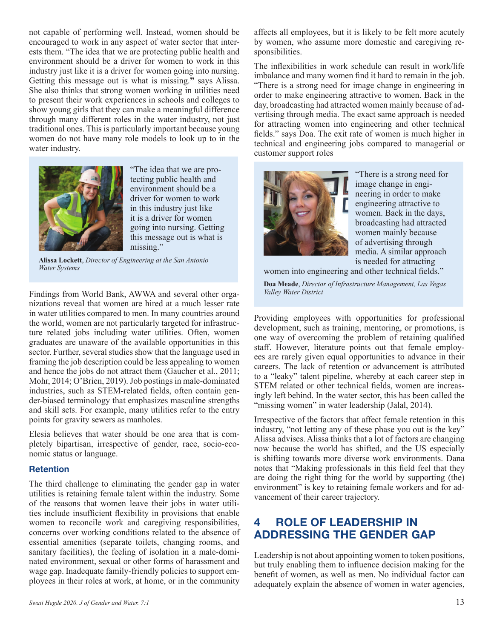not capable of performing well. Instead, women should be encouraged to work in any aspect of water sector that interests them. "The idea that we are protecting public health and environment should be a driver for women to work in this industry just like it is a driver for women going into nursing. Getting this message out is what is missing.**"** says Alissa. She also thinks that strong women working in utilities need to present their work experiences in schools and colleges to show young girls that they can make a meaningful difference through many different roles in the water industry, not just traditional ones. This is particularly important because young women do not have many role models to look up to in the water industry.



"The idea that we are protecting public health and environment should be a driver for women to work in this industry just like it is a driver for women going into nursing. Getting this message out is what is missing."

**Alissa Lockett**, *Director of Engineering at the San Antonio Water Systems*

Findings from World Bank, AWWA and several other organizations reveal that women are hired at a much lesser rate in water utilities compared to men. In many countries around the world, women are not particularly targeted for infrastructure related jobs including water utilities. Often, women graduates are unaware of the available opportunities in this sector. Further, several studies show that the language used in framing the job description could be less appealing to women and hence the jobs do not attract them (Gaucher et al., 2011; Mohr, 2014; O'Brien, 2019). Job postings in male-dominated industries, such as STEM-related fields, often contain gender-biased terminology that emphasizes masculine strengths and skill sets. For example, many utilities refer to the entry points for gravity sewers as manholes.

Elesia believes that water should be one area that is completely bipartisan, irrespective of gender, race, socio-economic status or language.

#### **Retention**

The third challenge to eliminating the gender gap in water utilities is retaining female talent within the industry. Some of the reasons that women leave their jobs in water utilities include insufficient flexibility in provisions that enable women to reconcile work and caregiving responsibilities, concerns over working conditions related to the absence of essential amenities (separate toilets, changing rooms, and sanitary facilities), the feeling of isolation in a male-dominated environment, sexual or other forms of harassment and wage gap. Inadequate family-friendly policies to support employees in their roles at work, at home, or in the community

affects all employees, but it is likely to be felt more acutely by women, who assume more domestic and caregiving responsibilities.

The inflexibilities in work schedule can result in work/life imbalance and many women find it hard to remain in the job. "There is a strong need for image change in engineering in order to make engineering attractive to women. Back in the day, broadcasting had attracted women mainly because of advertising through media. The exact same approach is needed for attracting women into engineering and other technical fields." says Doa. The exit rate of women is much higher in technical and engineering jobs compared to managerial or customer support roles



"There is a strong need for image change in engineering in order to make engineering attractive to women. Back in the days, broadcasting had attracted women mainly because of advertising through media. A similar approach is needed for attracting

women into engineering and other technical fields."

**Doa Meade**, *Director of Infrastructure Management, Las Vegas Valley Water District*

Providing employees with opportunities for professional development, such as training, mentoring, or promotions, is one way of overcoming the problem of retaining qualified staff. However, literature points out that female employees are rarely given equal opportunities to advance in their careers. The lack of retention or advancement is attributed to a "leaky" talent pipeline, whereby at each career step in STEM related or other technical fields, women are increasingly left behind. In the water sector, this has been called the "missing women" in water leadership (Jalal, 2014).

Irrespective of the factors that affect female retention in this industry, "not letting any of these phase you out is the key" Alissa advises. Alissa thinks that a lot of factors are changing now because the world has shifted, and the US especially is shifting towards more diverse work environments. Dana notes that "Making professionals in this field feel that they are doing the right thing for the world by supporting (the) environment" is key to retaining female workers and for advancement of their career trajectory.

# **4 ROLE OF LEADERSHIP IN ADDRESSING THE GENDER GAP**

Leadership is not about appointing women to token positions, but truly enabling them to influence decision making for the benefit of women, as well as men. No individual factor can adequately explain the absence of women in water agencies,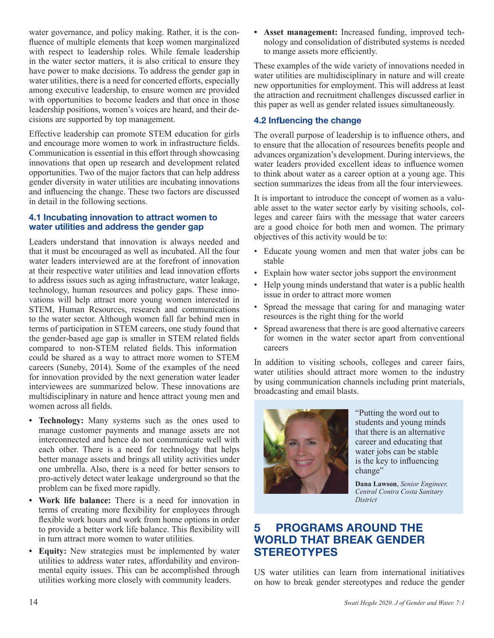water governance, and policy making. Rather, it is the confluence of multiple elements that keep women marginalized with respect to leadership roles. While female leadership in the water sector matters, it is also critical to ensure they have power to make decisions. To address the gender gap in water utilities, there is a need for concerted efforts, especially among executive leadership, to ensure women are provided with opportunities to become leaders and that once in those leadership positions, women's voices are heard, and their decisions are supported by top management.

Effective leadership can promote STEM education for girls and encourage more women to work in infrastructure fields. Communication is essential in this effort through showcasing innovations that open up research and development related opportunities. Two of the major factors that can help address gender diversity in water utilities are incubating innovations and influencing the change. These two factors are discussed in detail in the following sections.

#### **4.1 Incubating innovation to attract women to water utilities and address the gender gap**

Leaders understand that innovation is always needed and that it must be encouraged as well as incubated. All the four water leaders interviewed are at the forefront of innovation at their respective water utilities and lead innovation efforts to address issues such as aging infrastructure, water leakage, technology, human resources and policy gaps. These innovations will help attract more young women interested in STEM, Human Resources, research and communications to the water sector. Although women fall far behind men in terms of participation in STEM careers, one study found that the gender-based age gap is smaller in STEM related fields compared to non-STEM related fields. This information could be shared as a way to attract more women to STEM careers (Suneby, 2014). Some of the examples of the need for innovation provided by the next generation water leader interviewees are summarized below. These innovations are multidisciplinary in nature and hence attract young men and women across all fields.

- **• Technology:** Many systems such as the ones used to manage customer payments and manage assets are not interconnected and hence do not communicate well with each other. There is a need for technology that helps better manage assets and brings all utility activities under one umbrella. Also, there is a need for better sensors to pro-actively detect water leakage underground so that the problem can be fixed more rapidly.
- **• Work life balance:** There is a need for innovation in terms of creating more flexibility for employees through flexible work hours and work from home options in order to provide a better work life balance. This flexibility will in turn attract more women to water utilities.
- **• Equity:** New strategies must be implemented by water utilities to address water rates, affordability and environmental equity issues. This can be accomplished through utilities working more closely with community leaders.

**• Asset management:** Increased funding, improved technology and consolidation of distributed systems is needed to mange assets more efficiently.

These examples of the wide variety of innovations needed in water utilities are multidisciplinary in nature and will create new opportunities for employment. This will address at least the attraction and recruitment challenges discussed earlier in this paper as well as gender related issues simultaneously.

### **4.2 Influencing the change**

The overall purpose of leadership is to influence others, and to ensure that the allocation of resources benefits people and advances organization's development. During interviews, the water leaders provided excellent ideas to influence women to think about water as a career option at a young age. This section summarizes the ideas from all the four interviewees.

It is important to introduce the concept of women as a valuable asset to the water sector early by visiting schools, colleges and career fairs with the message that water careers are a good choice for both men and women. The primary objectives of this activity would be to:

- Educate young women and men that water jobs can be stable
- Explain how water sector jobs support the environment
- Help young minds understand that water is a public health issue in order to attract more women
- Spread the message that caring for and managing water resources is the right thing for the world
- Spread awareness that there is are good alternative careers for women in the water sector apart from conventional careers

In addition to visiting schools, colleges and career fairs, water utilities should attract more women to the industry by using communication channels including print materials, broadcasting and email blasts.



"Putting the word out to students and young minds that there is an alternative career and educating that water jobs can be stable is the key to influencing change"

**Dana Lawson**, *Senior Engineer, Central Contra Costa Sanitary District*

# **5 PROGRAMS AROUND THE WORLD THAT BREAK GENDER STEREOTYPES**

US water utilities can learn from international initiatives on how to break gender stereotypes and reduce the gender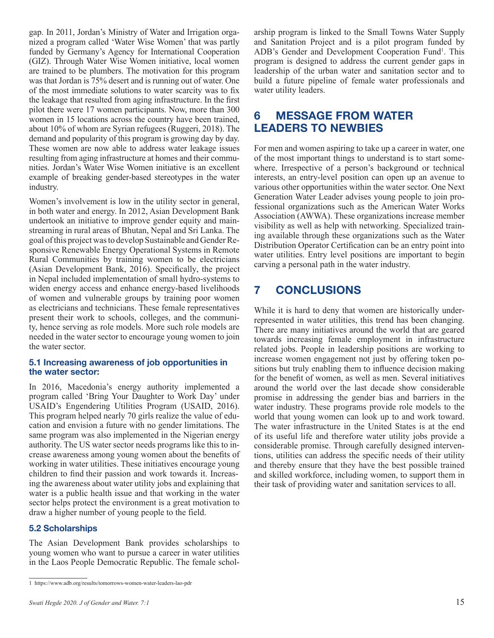gap. In 2011, Jordan's Ministry of Water and Irrigation organized a program called 'Water Wise Women' that was partly funded by Germany's Agency for International Cooperation (GIZ). Through Water Wise Women initiative, local women are trained to be plumbers. The motivation for this program was that Jordan is 75% desert and is running out of water. One of the most immediate solutions to water scarcity was to fix the leakage that resulted from aging infrastructure. In the first pilot there were 17 women participants. Now, more than 300 women in 15 locations across the country have been trained, about 10% of whom are Syrian refugees (Ruggeri, 2018). The demand and popularity of this program is growing day by day. These women are now able to address water leakage issues resulting from aging infrastructure at homes and their communities. Jordan's Water Wise Women initiative is an excellent example of breaking gender-based stereotypes in the water industry.

Women's involvement is low in the utility sector in general, in both water and energy. In 2012, Asian Development Bank undertook an initiative to improve gender equity and mainstreaming in rural areas of Bhutan, Nepal and Sri Lanka. The goal of this project was to develop Sustainable and Gender Responsive Renewable Energy Operational Systems in Remote Rural Communities by training women to be electricians (Asian Development Bank, 2016). Specifically, the project in Nepal included implementation of small hydro-systems to widen energy access and enhance energy-based livelihoods of women and vulnerable groups by training poor women as electricians and technicians. These female representatives present their work to schools, colleges, and the community, hence serving as role models. More such role models are needed in the water sector to encourage young women to join the water sector.

#### **5.1 Increasing awareness of job opportunities in the water sector:**

In 2016, Macedonia's energy authority implemented a program called 'Bring Your Daughter to Work Day' under USAID's Engendering Utilities Program (USAID, 2016). This program helped nearly 70 girls realize the value of education and envision a future with no gender limitations. The same program was also implemented in the Nigerian energy authority. The US water sector needs programs like this to increase awareness among young women about the benefits of working in water utilities. These initiatives encourage young children to find their passion and work towards it. Increasing the awareness about water utility jobs and explaining that water is a public health issue and that working in the water sector helps protect the environment is a great motivation to draw a higher number of young people to the field.

#### **5.2 Scholarships**

The Asian Development Bank provides scholarships to young women who want to pursue a career in water utilities in the Laos People Democratic Republic. The female scholarship program is linked to the Small Towns Water Supply and Sanitation Project and is a pilot program funded by ADB's Gender and Development Cooperation Fund<sup>1</sup>. This program is designed to address the current gender gaps in leadership of the urban water and sanitation sector and to build a future pipeline of female water professionals and water utility leaders.

# **6 MESSAGE FROM WATER LEADERS TO NEWBIES**

For men and women aspiring to take up a career in water, one of the most important things to understand is to start somewhere. Irrespective of a person's background or technical interests, an entry-level position can open up an avenue to various other opportunities within the water sector. One Next Generation Water Leader advises young people to join professional organizations such as the American Water Works Association (AWWA). These organizations increase member visibility as well as help with networking. Specialized training available through these organizations such as the Water Distribution Operator Certification can be an entry point into water utilities. Entry level positions are important to begin carving a personal path in the water industry.

# **7 CONCLUSIONS**

While it is hard to deny that women are historically underrepresented in water utilities, this trend has been changing. There are many initiatives around the world that are geared towards increasing female employment in infrastructure related jobs. People in leadership positions are working to increase women engagement not just by offering token positions but truly enabling them to influence decision making for the benefit of women, as well as men. Several initiatives around the world over the last decade show considerable promise in addressing the gender bias and barriers in the water industry. These programs provide role models to the world that young women can look up to and work toward. The water infrastructure in the United States is at the end of its useful life and therefore water utility jobs provide a considerable promise. Through carefully designed interventions, utilities can address the specific needs of their utility and thereby ensure that they have the best possible trained and skilled workforce, including women, to support them in their task of providing water and sanitation services to all.

<sup>1</sup> https://www.adb.org/results/tomorrows-women-water-leaders-lao-pdr